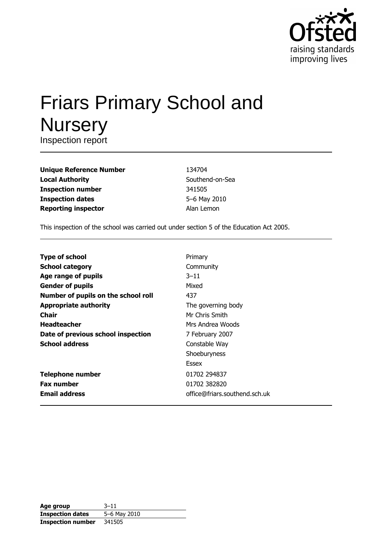

# **Friars Primary School and Nursery**

Inspection report

| <b>Unique Reference Number</b> |
|--------------------------------|
| <b>Local Authority</b>         |
| <b>Inspection number</b>       |
| <b>Inspection dates</b>        |
| <b>Reporting inspector</b>     |

134704 Southend-on-Sea 341505 5-6 May 2010 Alan Lemon

This inspection of the school was carried out under section 5 of the Education Act 2005.

| <b>Type of school</b>               | Primary                       |
|-------------------------------------|-------------------------------|
| <b>School category</b>              | Community                     |
| Age range of pupils                 | $3 - 11$                      |
| <b>Gender of pupils</b>             | Mixed                         |
| Number of pupils on the school roll | 437                           |
| <b>Appropriate authority</b>        | The governing body            |
| Chair                               | Mr Chris Smith                |
| <b>Headteacher</b>                  | Mrs Andrea Woods              |
| Date of previous school inspection  | 7 February 2007               |
| <b>School address</b>               | Constable Way                 |
|                                     | Shoeburyness                  |
|                                     | Essex                         |
| <b>Telephone number</b>             | 01702 294837                  |
| <b>Fax number</b>                   | 01702 382820                  |
| <b>Email address</b>                | office@friars.southend.sch.uk |

| Age group                | $3 - 11$     |
|--------------------------|--------------|
| <b>Inspection dates</b>  | 5-6 May 2010 |
| <b>Inspection number</b> | 341505       |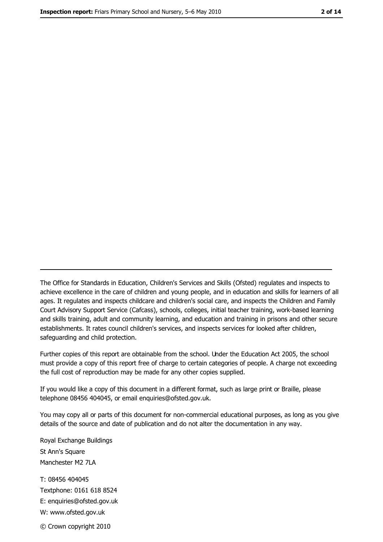The Office for Standards in Education, Children's Services and Skills (Ofsted) regulates and inspects to achieve excellence in the care of children and young people, and in education and skills for learners of all ages. It regulates and inspects childcare and children's social care, and inspects the Children and Family Court Advisory Support Service (Cafcass), schools, colleges, initial teacher training, work-based learning and skills training, adult and community learning, and education and training in prisons and other secure establishments. It rates council children's services, and inspects services for looked after children, safequarding and child protection.

Further copies of this report are obtainable from the school. Under the Education Act 2005, the school must provide a copy of this report free of charge to certain categories of people. A charge not exceeding the full cost of reproduction may be made for any other copies supplied.

If you would like a copy of this document in a different format, such as large print or Braille, please telephone 08456 404045, or email enquiries@ofsted.gov.uk.

You may copy all or parts of this document for non-commercial educational purposes, as long as you give details of the source and date of publication and do not alter the documentation in any way.

Royal Exchange Buildings St Ann's Square Manchester M2 7LA T: 08456 404045 Textphone: 0161 618 8524 E: enquiries@ofsted.gov.uk W: www.ofsted.gov.uk © Crown copyright 2010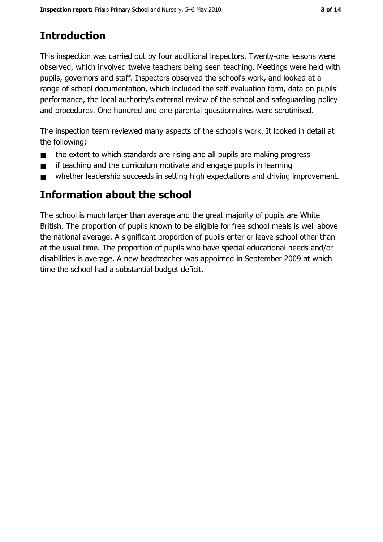# **Introduction**

This inspection was carried out by four additional inspectors. Twenty-one lessons were observed, which involved twelve teachers being seen teaching. Meetings were held with pupils, governors and staff. Inspectors observed the school's work, and looked at a range of school documentation, which included the self-evaluation form, data on pupils' performance, the local authority's external review of the school and safeguarding policy and procedures. One hundred and one parental questionnaires were scrutinised.

The inspection team reviewed many aspects of the school's work. It looked in detail at the following:

- the extent to which standards are rising and all pupils are making progress  $\blacksquare$
- if teaching and the curriculum motivate and engage pupils in learning  $\blacksquare$
- whether leadership succeeds in setting high expectations and driving improvement.  $\blacksquare$

# Information about the school

The school is much larger than average and the great majority of pupils are White British. The proportion of pupils known to be eligible for free school meals is well above the national average. A significant proportion of pupils enter or leave school other than at the usual time. The proportion of pupils who have special educational needs and/or disabilities is average. A new headteacher was appointed in September 2009 at which time the school had a substantial budget deficit.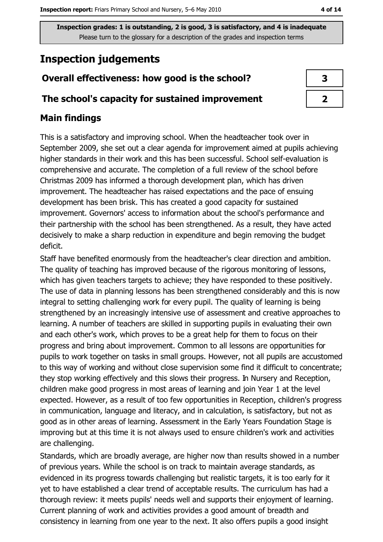# **Inspection judgements**

## Overall effectiveness: how good is the school?

## The school's capacity for sustained improvement

## **Main findings**

This is a satisfactory and improving school. When the headteacher took over in September 2009, she set out a clear agenda for improvement aimed at pupils achieving higher standards in their work and this has been successful. School self-evaluation is comprehensive and accurate. The completion of a full review of the school before Christmas 2009 has informed a thorough development plan, which has driven improvement. The headteacher has raised expectations and the pace of ensuing development has been brisk. This has created a good capacity for sustained improvement. Governors' access to information about the school's performance and their partnership with the school has been strengthened. As a result, they have acted decisively to make a sharp reduction in expenditure and begin removing the budget deficit.

Staff have benefited enormously from the headteacher's clear direction and ambition. The quality of teaching has improved because of the rigorous monitoring of lessons, which has given teachers targets to achieve; they have responded to these positively. The use of data in planning lessons has been strengthened considerably and this is now integral to setting challenging work for every pupil. The quality of learning is being strengthened by an increasingly intensive use of assessment and creative approaches to learning. A number of teachers are skilled in supporting pupils in evaluating their own and each other's work, which proves to be a great help for them to focus on their progress and bring about improvement. Common to all lessons are opportunities for pupils to work together on tasks in small groups. However, not all pupils are accustomed to this way of working and without close supervision some find it difficult to concentrate; they stop working effectively and this slows their progress. In Nursery and Reception, children make good progress in most areas of learning and join Year 1 at the level expected. However, as a result of too few opportunities in Reception, children's progress in communication, language and literacy, and in calculation, is satisfactory, but not as good as in other areas of learning. Assessment in the Early Years Foundation Stage is improving but at this time it is not always used to ensure children's work and activities are challenging.

Standards, which are broadly average, are higher now than results showed in a number of previous years. While the school is on track to maintain average standards, as evidenced in its progress towards challenging but realistic targets, it is too early for it yet to have established a clear trend of acceptable results. The curriculum has had a thorough review: it meets pupils' needs well and supports their enjoyment of learning. Current planning of work and activities provides a good amount of breadth and consistency in learning from one year to the next. It also offers pupils a good insight

| 3 |
|---|
|   |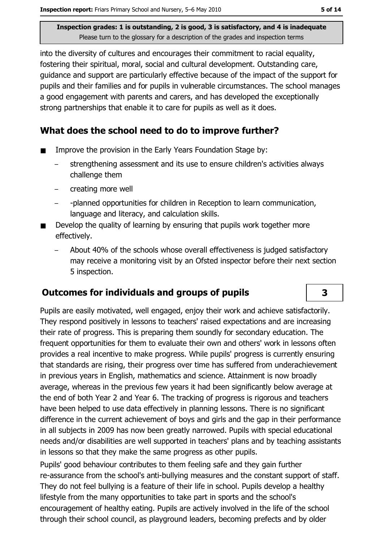into the diversity of cultures and encourages their commitment to racial equality, fostering their spiritual, moral, social and cultural development. Outstanding care, quidance and support are particularly effective because of the impact of the support for pupils and their families and for pupils in vulnerable circumstances. The school manages a good engagement with parents and carers, and has developed the exceptionally strong partnerships that enable it to care for pupils as well as it does.

## What does the school need to do to improve further?

- Improve the provision in the Early Years Foundation Stage by:  $\blacksquare$ 
	- strengthening assessment and its use to ensure children's activities always challenge them
	- creating more well
	- -planned opportunities for children in Reception to learn communication, language and literacy, and calculation skills.
- Develop the quality of learning by ensuring that pupils work together more effectively.
	- About 40% of the schools whose overall effectiveness is judged satisfactory may receive a monitoring visit by an Ofsted inspector before their next section 5 inspection.

## **Outcomes for individuals and groups of pupils**

Pupils are easily motivated, well engaged, enjoy their work and achieve satisfactorily. They respond positively in lessons to teachers' raised expectations and are increasing their rate of progress. This is preparing them soundly for secondary education. The frequent opportunities for them to evaluate their own and others' work in lessons often provides a real incentive to make progress. While pupils' progress is currently ensuring that standards are rising, their progress over time has suffered from underachievement in previous years in English, mathematics and science. Attainment is now broadly average, whereas in the previous few years it had been significantly below average at the end of both Year 2 and Year 6. The tracking of progress is rigorous and teachers have been helped to use data effectively in planning lessons. There is no significant difference in the current achievement of boys and girls and the gap in their performance in all subjects in 2009 has now been greatly narrowed. Pupils with special educational needs and/or disabilities are well supported in teachers' plans and by teaching assistants in lessons so that they make the same progress as other pupils.

Pupils' good behaviour contributes to them feeling safe and they gain further re-assurance from the school's anti-bullying measures and the constant support of staff. They do not feel bullying is a feature of their life in school. Pupils develop a healthy lifestyle from the many opportunities to take part in sports and the school's encouragement of healthy eating. Pupils are actively involved in the life of the school through their school council, as playground leaders, becoming prefects and by older

 $\overline{\mathbf{3}}$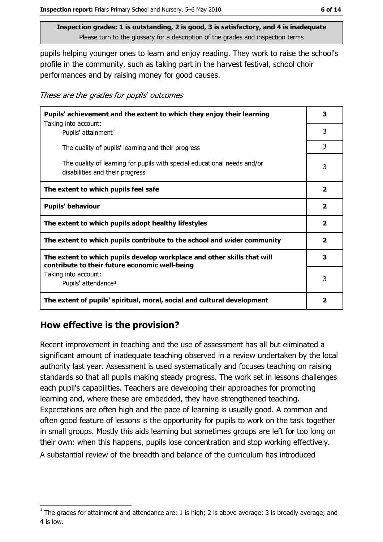pupils helping younger ones to learn and enjoy reading. They work to raise the school's profile in the community, such as taking part in the harvest festival, school choir performances and by raising money for good causes.

These are the grades for pupils' outcomes

| Pupils' achievement and the extent to which they enjoy their learning<br>Taking into account:                             | З                       |  |
|---------------------------------------------------------------------------------------------------------------------------|-------------------------|--|
| Pupils' attainment <sup>1</sup>                                                                                           | 3                       |  |
| The quality of pupils' learning and their progress                                                                        | 3                       |  |
| The quality of learning for pupils with special educational needs and/or<br>disabilities and their progress               | 3                       |  |
| The extent to which pupils feel safe                                                                                      | $\mathbf{2}$            |  |
| <b>Pupils' behaviour</b>                                                                                                  | $\mathbf{2}$            |  |
| The extent to which pupils adopt healthy lifestyles                                                                       | $\overline{\mathbf{2}}$ |  |
| The extent to which pupils contribute to the school and wider community                                                   |                         |  |
| The extent to which pupils develop workplace and other skills that will<br>contribute to their future economic well-being |                         |  |
| Taking into account:                                                                                                      | 3                       |  |
| Pupils' attendance <sup>1</sup>                                                                                           |                         |  |
| The extent of pupils' spiritual, moral, social and cultural development                                                   | 2                       |  |

# How effective is the provision?

Recent improvement in teaching and the use of assessment has all but eliminated a significant amount of inadequate teaching observed in a review undertaken by the local authority last year. Assessment is used systematically and focuses teaching on raising standards so that all pupils making steady progress. The work set in lessons challenges each pupil's capabilities. Teachers are developing their approaches for promoting learning and, where these are embedded, they have strengthened teaching. Expectations are often high and the pace of learning is usually good. A common and often good feature of lessons is the opportunity for pupils to work on the task together in small groups. Mostly this aids learning but sometimes groups are left for too long on their own: when this happens, pupils lose concentration and stop working effectively. A substantial review of the breadth and balance of the curriculum has introduced

The grades for attainment and attendance are: 1 is high; 2 is above average; 3 is broadly average; and 4 is low.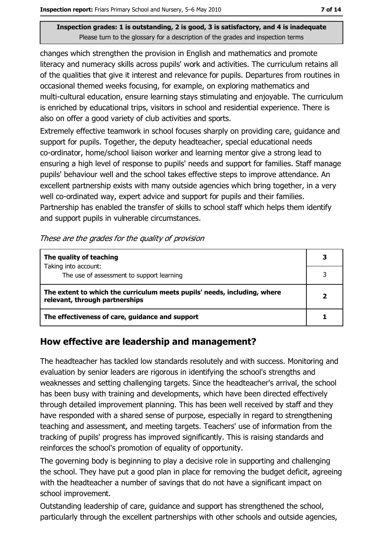changes which strengthen the provision in English and mathematics and promote literacy and numeracy skills across pupils' work and activities. The curriculum retains all of the qualities that give it interest and relevance for pupils. Departures from routines in occasional themed weeks focusing, for example, on exploring mathematics and multi-cultural education, ensure learning stays stimulating and enjoyable. The curriculum is enriched by educational trips, visitors in school and residential experience. There is also on offer a good variety of club activities and sports.

Extremely effective teamwork in school focuses sharply on providing care, guidance and support for pupils. Together, the deputy headteacher, special educational needs co-ordinator, home/school liaison worker and learning mentor give a strong lead to ensuring a high level of response to pupils' needs and support for families. Staff manage pupils' behaviour well and the school takes effective steps to improve attendance. An excellent partnership exists with many outside agencies which bring together, in a very well co-ordinated way, expert advice and support for pupils and their families. Partnership has enabled the transfer of skills to school staff which helps them identify and support pupils in vulnerable circumstances.

#### These are the grades for the quality of provision

| The quality of teaching                                                                                    |   |
|------------------------------------------------------------------------------------------------------------|---|
| Taking into account:<br>The use of assessment to support learning                                          |   |
| The extent to which the curriculum meets pupils' needs, including, where<br>relevant, through partnerships | כ |
| The effectiveness of care, guidance and support                                                            |   |

# How effective are leadership and management?

The headteacher has tackled low standards resolutely and with success. Monitoring and evaluation by senior leaders are rigorous in identifying the school's strengths and weaknesses and setting challenging targets. Since the headteacher's arrival, the school has been busy with training and developments, which have been directed effectively through detailed improvement planning. This has been well received by staff and they have responded with a shared sense of purpose, especially in regard to strengthening teaching and assessment, and meeting targets. Teachers' use of information from the tracking of pupils' progress has improved significantly. This is raising standards and reinforces the school's promotion of equality of opportunity.

The governing body is beginning to play a decisive role in supporting and challenging the school. They have put a good plan in place for removing the budget deficit, agreeing with the headteacher a number of savings that do not have a significant impact on school improvement.

Outstanding leadership of care, quidance and support has strengthened the school, particularly through the excellent partnerships with other schools and outside agencies,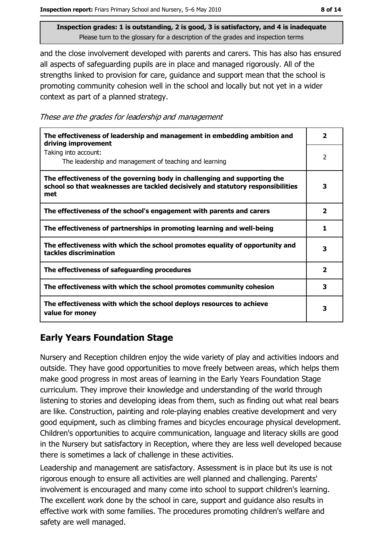and the close involvement developed with parents and carers. This has also has ensured all aspects of safeguarding pupils are in place and managed rigorously. All of the strengths linked to provision for care, guidance and support mean that the school is promoting community cohesion well in the school and locally but not yet in a wider context as part of a planned strategy.

|  |  | These are the grades for leadership and management |  |  |
|--|--|----------------------------------------------------|--|--|
|  |  |                                                    |  |  |

| The effectiveness of leadership and management in embedding ambition and<br>driving improvement                                                                     | 2                       |
|---------------------------------------------------------------------------------------------------------------------------------------------------------------------|-------------------------|
| Taking into account:<br>The leadership and management of teaching and learning                                                                                      | 2                       |
| The effectiveness of the governing body in challenging and supporting the<br>school so that weaknesses are tackled decisively and statutory responsibilities<br>met | 3                       |
| The effectiveness of the school's engagement with parents and carers                                                                                                | $\overline{\mathbf{2}}$ |
| The effectiveness of partnerships in promoting learning and well-being                                                                                              | 1                       |
| The effectiveness with which the school promotes equality of opportunity and<br>tackles discrimination                                                              | з                       |
| The effectiveness of safeguarding procedures                                                                                                                        | $\overline{\mathbf{2}}$ |
| The effectiveness with which the school promotes community cohesion                                                                                                 | 3                       |
| The effectiveness with which the school deploys resources to achieve<br>value for money                                                                             | 3                       |

# **Early Years Foundation Stage**

Nursery and Reception children enjoy the wide variety of play and activities indoors and outside. They have good opportunities to move freely between areas, which helps them make good progress in most areas of learning in the Early Years Foundation Stage curriculum. They improve their knowledge and understanding of the world through listening to stories and developing ideas from them, such as finding out what real bears are like. Construction, painting and role-playing enables creative development and very good equipment, such as climbing frames and bicycles encourage physical development. Children's opportunities to acquire communication, language and literacy skills are good in the Nursery but satisfactory in Reception, where they are less well developed because there is sometimes a lack of challenge in these activities.

Leadership and management are satisfactory. Assessment is in place but its use is not rigorous enough to ensure all activities are well planned and challenging. Parents' involvement is encouraged and many come into school to support children's learning. The excellent work done by the school in care, support and guidance also results in effective work with some families. The procedures promoting children's welfare and safety are well managed.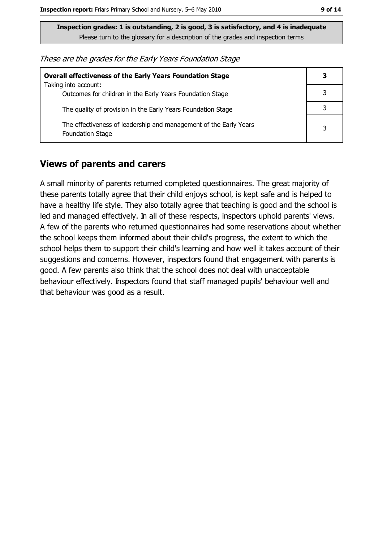These are the grades for the Early Years Foundation Stage

| <b>Overall effectiveness of the Early Years Foundation Stage</b>                             | З |
|----------------------------------------------------------------------------------------------|---|
| Taking into account:<br>Outcomes for children in the Early Years Foundation Stage            |   |
| The quality of provision in the Early Years Foundation Stage                                 |   |
| The effectiveness of leadership and management of the Early Years<br><b>Foundation Stage</b> | 3 |

#### **Views of parents and carers**

A small minority of parents returned completed questionnaires. The great majority of these parents totally agree that their child enjoys school, is kept safe and is helped to have a healthy life style. They also totally agree that teaching is good and the school is led and managed effectively. In all of these respects, inspectors uphold parents' views. A few of the parents who returned questionnaires had some reservations about whether the school keeps them informed about their child's progress, the extent to which the school helps them to support their child's learning and how well it takes account of their suggestions and concerns. However, inspectors found that engagement with parents is good. A few parents also think that the school does not deal with unacceptable behaviour effectively. Inspectors found that staff managed pupils' behaviour well and that behaviour was good as a result.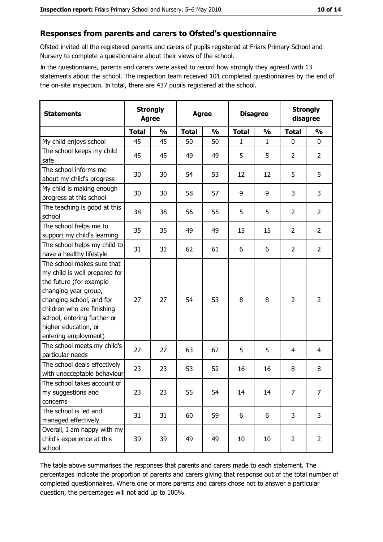## Responses from parents and carers to Ofsted's questionnaire

Ofsted invited all the registered parents and carers of pupils registered at Friars Primary School and Nursery to complete a questionnaire about their views of the school.

In the questionnaire, parents and carers were asked to record how strongly they agreed with 13 statements about the school. The inspection team received 101 completed questionnaires by the end of the on-site inspection. In total, there are 437 pupils registered at the school.

| <b>Statements</b>                                                                                                                                                                                                                                       | <b>Agree</b> | <b>Strongly</b> | <b>Strongly</b><br><b>Disagree</b><br><b>Agree</b><br>disagree |               |              |               |                |                |
|---------------------------------------------------------------------------------------------------------------------------------------------------------------------------------------------------------------------------------------------------------|--------------|-----------------|----------------------------------------------------------------|---------------|--------------|---------------|----------------|----------------|
|                                                                                                                                                                                                                                                         | <b>Total</b> | $\frac{1}{2}$   | <b>Total</b>                                                   | $\frac{0}{0}$ | <b>Total</b> | $\frac{1}{2}$ | <b>Total</b>   | $\frac{1}{2}$  |
| My child enjoys school                                                                                                                                                                                                                                  | 45           | 45              | 50                                                             | 50            | 1            | $\mathbf{1}$  | $\Omega$       | 0              |
| The school keeps my child<br>safe                                                                                                                                                                                                                       | 45           | 45              | 49                                                             | 49            | 5            | 5             | $\overline{2}$ | $\overline{2}$ |
| The school informs me<br>about my child's progress                                                                                                                                                                                                      | 30           | 30              | 54                                                             | 53            | 12           | 12            | 5              | 5              |
| My child is making enough<br>progress at this school                                                                                                                                                                                                    | 30           | 30              | 58                                                             | 57            | 9            | 9             | 3              | 3              |
| The teaching is good at this<br>school                                                                                                                                                                                                                  | 38           | 38              | 56                                                             | 55            | 5            | 5             | $\overline{2}$ | $\overline{2}$ |
| The school helps me to<br>support my child's learning                                                                                                                                                                                                   | 35           | 35              | 49                                                             | 49            | 15           | 15            | $\overline{2}$ | $\overline{2}$ |
| The school helps my child to<br>have a healthy lifestyle                                                                                                                                                                                                | 31           | 31              | 62                                                             | 61            | 6            | 6             | $\overline{2}$ | $\overline{2}$ |
| The school makes sure that<br>my child is well prepared for<br>the future (for example<br>changing year group,<br>changing school, and for<br>children who are finishing<br>school, entering further or<br>higher education, or<br>entering employment) | 27           | 27              | 54                                                             | 53            | 8            | 8             | $\overline{2}$ | $\overline{2}$ |
| The school meets my child's<br>particular needs                                                                                                                                                                                                         | 27           | 27              | 63                                                             | 62            | 5            | 5             | 4              | 4              |
| The school deals effectively<br>with unacceptable behaviour                                                                                                                                                                                             | 23           | 23              | 53                                                             | 52            | 16           | 16            | 8              | 8              |
| The school takes account of<br>my suggestions and<br>concerns                                                                                                                                                                                           | 23           | 23              | 55                                                             | 54            | 14           | 14            | $\overline{7}$ | $\overline{7}$ |
| The school is led and<br>managed effectively                                                                                                                                                                                                            | 31           | 31              | 60                                                             | 59            | 6            | 6             | 3              | 3              |
| Overall, I am happy with my<br>child's experience at this<br>school                                                                                                                                                                                     | 39           | 39              | 49                                                             | 49            | 10           | 10            | $\overline{2}$ | $\overline{2}$ |

The table above summarises the responses that parents and carers made to each statement. The percentages indicate the proportion of parents and carers giving that response out of the total number of completed questionnaires. Where one or more parents and carers chose not to answer a particular question, the percentages will not add up to 100%.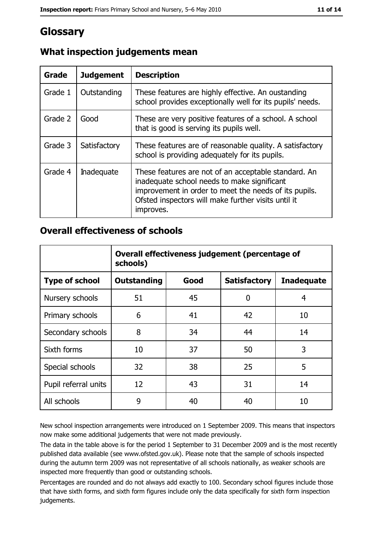# **Glossary**

| Grade   | <b>Judgement</b>  | <b>Description</b>                                                                                                                                                                                                               |
|---------|-------------------|----------------------------------------------------------------------------------------------------------------------------------------------------------------------------------------------------------------------------------|
| Grade 1 | Outstanding       | These features are highly effective. An oustanding<br>school provides exceptionally well for its pupils' needs.                                                                                                                  |
| Grade 2 | Good              | These are very positive features of a school. A school<br>that is good is serving its pupils well.                                                                                                                               |
| Grade 3 | Satisfactory      | These features are of reasonable quality. A satisfactory<br>school is providing adequately for its pupils.                                                                                                                       |
| Grade 4 | <b>Inadequate</b> | These features are not of an acceptable standard. An<br>inadequate school needs to make significant<br>improvement in order to meet the needs of its pupils.<br>Ofsted inspectors will make further visits until it<br>improves. |

# What inspection judgements mean

## **Overall effectiveness of schools**

|                       | Overall effectiveness judgement (percentage of<br>schools) |      |                     |                   |  |  |
|-----------------------|------------------------------------------------------------|------|---------------------|-------------------|--|--|
| <b>Type of school</b> | <b>Outstanding</b>                                         | Good | <b>Satisfactory</b> | <b>Inadequate</b> |  |  |
| Nursery schools       | 51                                                         | 45   | 0                   | 4                 |  |  |
| Primary schools       | 6                                                          | 41   | 42                  | 10                |  |  |
| Secondary schools     | 8                                                          | 34   | 44                  | 14                |  |  |
| Sixth forms           | 10                                                         | 37   | 50                  | 3                 |  |  |
| Special schools       | 32                                                         | 38   | 25                  | 5                 |  |  |
| Pupil referral units  | 12                                                         | 43   | 31                  | 14                |  |  |
| All schools           | 9                                                          | 40   | 40                  | 10                |  |  |

New school inspection arrangements were introduced on 1 September 2009. This means that inspectors now make some additional judgements that were not made previously.

The data in the table above is for the period 1 September to 31 December 2009 and is the most recently published data available (see www.ofsted.gov.uk). Please note that the sample of schools inspected during the autumn term 2009 was not representative of all schools nationally, as weaker schools are inspected more frequently than good or outstanding schools.

Percentages are rounded and do not always add exactly to 100. Secondary school figures include those that have sixth forms, and sixth form figures include only the data specifically for sixth form inspection judgements.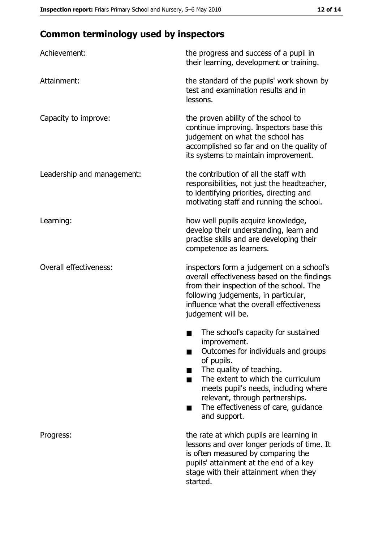# **Common terminology used by inspectors**

| Achievement:                  | the progress and success of a pupil in<br>their learning, development or training.                                                                                                                                                                                                                           |
|-------------------------------|--------------------------------------------------------------------------------------------------------------------------------------------------------------------------------------------------------------------------------------------------------------------------------------------------------------|
| Attainment:                   | the standard of the pupils' work shown by<br>test and examination results and in<br>lessons.                                                                                                                                                                                                                 |
| Capacity to improve:          | the proven ability of the school to<br>continue improving. Inspectors base this<br>judgement on what the school has<br>accomplished so far and on the quality of<br>its systems to maintain improvement.                                                                                                     |
| Leadership and management:    | the contribution of all the staff with<br>responsibilities, not just the headteacher,<br>to identifying priorities, directing and<br>motivating staff and running the school.                                                                                                                                |
| Learning:                     | how well pupils acquire knowledge,<br>develop their understanding, learn and<br>practise skills and are developing their<br>competence as learners.                                                                                                                                                          |
| <b>Overall effectiveness:</b> | inspectors form a judgement on a school's<br>overall effectiveness based on the findings<br>from their inspection of the school. The<br>following judgements, in particular,<br>influence what the overall effectiveness<br>judgement will be.                                                               |
|                               | The school's capacity for sustained<br>improvement.<br>Outcomes for individuals and groups<br>of pupils.<br>The quality of teaching.<br>The extent to which the curriculum<br>meets pupil's needs, including where<br>relevant, through partnerships.<br>The effectiveness of care, guidance<br>and support. |
| Progress:                     | the rate at which pupils are learning in<br>lessons and over longer periods of time. It<br>is often measured by comparing the<br>pupils' attainment at the end of a key<br>stage with their attainment when they<br>started.                                                                                 |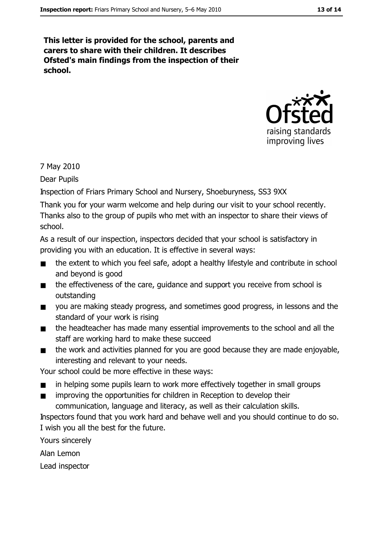This letter is provided for the school, parents and carers to share with their children. It describes Ofsted's main findings from the inspection of their school.



#### 7 May 2010

Dear Pupils

Inspection of Friars Primary School and Nursery, Shoeburyness, SS3 9XX

Thank you for your warm welcome and help during our visit to your school recently. Thanks also to the group of pupils who met with an inspector to share their views of school.

As a result of our inspection, inspectors decided that your school is satisfactory in providing you with an education. It is effective in several ways:

- the extent to which you feel safe, adopt a healthy lifestyle and contribute in school  $\blacksquare$ and beyond is good
- the effectiveness of the care, guidance and support you receive from school is  $\blacksquare$ outstanding
- you are making steady progress, and sometimes good progress, in lessons and the  $\blacksquare$ standard of your work is rising
- the headteacher has made many essential improvements to the school and all the  $\blacksquare$ staff are working hard to make these succeed
- the work and activities planned for you are good because they are made enjoyable.  $\blacksquare$ interesting and relevant to your needs.

Your school could be more effective in these ways:

- in helping some pupils learn to work more effectively together in small groups
- improving the opportunities for children in Reception to develop their  $\blacksquare$ communication, language and literacy, as well as their calculation skills.

Inspectors found that you work hard and behave well and you should continue to do so. I wish you all the best for the future.

Yours sincerely

Alan Lemon

Lead inspector